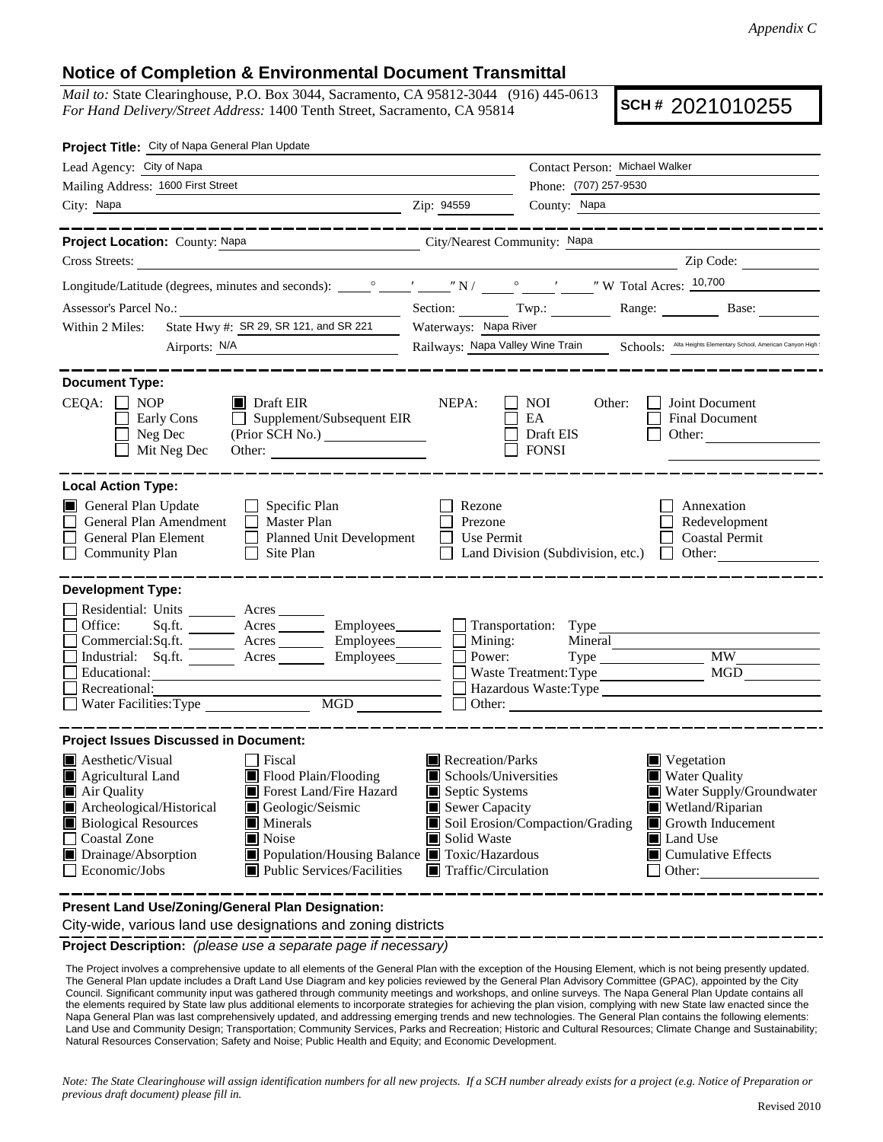## **Notice of Completion & Environmental Document Transmittal**

*Mail to:* State Clearinghouse, P.O. Box 3044, Sacramento, CA 95812-3044 (916) 445-0613 *For Hand Delivery/Street Address:* 1400 Tenth Street, Sacramento, CA 95814

**SCH #** 2021010255

| Project Title: City of Napa General Plan Update                                           |                                                              |                                  |                                                                            |
|-------------------------------------------------------------------------------------------|--------------------------------------------------------------|----------------------------------|----------------------------------------------------------------------------|
| Lead Agency: City of Napa                                                                 |                                                              |                                  | Contact Person: Michael Walker                                             |
| Mailing Address: 1600 First Street                                                        |                                                              |                                  | Phone: (707) 257-9530                                                      |
| City: Napa                                                                                |                                                              | Zip: 94559                       | County: Napa                                                               |
|                                                                                           |                                                              |                                  |                                                                            |
| <b>Project Location: County: Napa</b>                                                     |                                                              | City/Nearest Community: Napa     |                                                                            |
| Cross Streets:                                                                            |                                                              |                                  | Zip Code:                                                                  |
|                                                                                           |                                                              |                                  |                                                                            |
| Assessor's Parcel No.:                                                                    |                                                              |                                  | Section: Twp.: Range: Base:                                                |
| Within 2 Miles: State Hwy #: SR 29, SR 121, and SR 221 Waterways: Napa River              |                                                              |                                  |                                                                            |
| Airports: N/A                                                                             |                                                              | Railways: Napa Valley Wine Train | Schools: Alta Heights Elementary School, American Canyon High              |
|                                                                                           |                                                              |                                  |                                                                            |
| <b>Document Type:</b>                                                                     |                                                              |                                  |                                                                            |
| $CEQA: \Box NP$                                                                           | $\blacksquare$ Draft EIR                                     | NEPA:                            | $\Box$ NOI<br>Other:<br>Joint Document                                     |
| Early Cons                                                                                | $\Box$ Supplement/Subsequent EIR                             |                                  | AE<br>Final Document                                                       |
| $\Box$ Neg Dec<br>$\Box$ Mit Neg Dec                                                      | (Prior SCH No.)                                              |                                  | $\Box$ Draft EIS<br>Other:<br>$\Box$ FONSI                                 |
|                                                                                           |                                                              |                                  |                                                                            |
| <b>Local Action Type:</b>                                                                 |                                                              |                                  |                                                                            |
| General Plan Update                                                                       | $\Box$ Specific Plan                                         | l Rezone                         | Annexation                                                                 |
| General Plan Amendment                                                                    | $\Box$ Master Plan                                           | Prezone                          | Redevelopment                                                              |
| General Plan Element                                                                      | Planned Unit Development                                     | Use Permit                       | Coastal Permi                                                              |
| Community Plan                                                                            | $\Box$ Site Plan                                             |                                  | Land Division (Subdivision, etc.)<br>    Other:                            |
|                                                                                           |                                                              |                                  |                                                                            |
| <b>Development Type:</b>                                                                  |                                                              |                                  |                                                                            |
| Residential: Units                                                                        | Acres                                                        |                                  |                                                                            |
| Office:<br>Commercial:Sq.ft.                                                              | Acres Employees<br>Acres Employees                           | Mining:                          | $\Box$ Transportation: Type<br>Mineral                                     |
| Industrial: Sq.ft                                                                         | Acres Employees                                              | Power:                           | <b>MW</b><br>Type                                                          |
| $\mathcal{L}_{\text{max}}$ . The set of $\mathcal{L}_{\text{max}}$<br>$\Box$ Educational: |                                                              |                                  | and the contract of the contract of<br><b>Waste Treatment: Type</b><br>MGD |
| Recreational:                                                                             |                                                              |                                  | Hazardous Waste: Type                                                      |
| Water Facilities: Type                                                                    | MGD                                                          | Other:                           |                                                                            |
|                                                                                           |                                                              |                                  |                                                                            |
| <b>Project Issues Discussed in Document:</b>                                              |                                                              |                                  |                                                                            |
| Aesthetic/Visual                                                                          | $\Box$ Fiscal                                                | $\blacksquare$ Recreation/Parks  | $\blacksquare$ Vegetation                                                  |
| Agricultural Land                                                                         | Flood Plain/Flooding                                         | Schools/Universities             | <b>Water Quality</b>                                                       |
| Air Quality<br>Archeological/Historical                                                   | Forest Land/Fire Hazard<br>Geologic/Seismic                  | Septic Systems<br>Sewer Capacity | Water Supply/Groundwater<br>Wetland/Riparian                               |
|                                                                                           | $\blacksquare$ Minerals                                      |                                  | Soil Erosion/Compaction/Grading<br>$\Box$ Growth Inducement                |
| Biological Resources<br>Coastal Zone<br>Drainage/Absorption                               | $\blacksquare$ Noise                                         | Solid Waste                      | Land Use                                                                   |
|                                                                                           | ■ Population/Housing Balance ■ Toxic/Hazardous               |                                  | $\Box$ Cumulative Effects                                                  |
| $\Box$ Economic/Jobs                                                                      | $\Box$ Public Services/Facilities $\Box$ Traffic/Circulation |                                  | Other:<br>_______                                                          |
| <b>Descent Land HealZening/Concest Dian Deciman</b>                                       |                                                              |                                  |                                                                            |

**Present Land Use/Zoning/General Plan Designation:**

City-wide, various land use designations and zoning districts

**Project Description:** *(please use a separate page if necessary)*

 The Project involves a comprehensive update to all elements of the General Plan with the exception of the Housing Element, which is not being presently updated. The General Plan update includes a Draft Land Use Diagram and key policies reviewed by the General Plan Advisory Committee (GPAC), appointed by the City Council. Significant community input was gathered through community meetings and workshops, and online surveys. The Napa General Plan Update contains all the elements required by State law plus additional elements to incorporate strategies for achieving the plan vision, complying with new State law enacted since the Napa General Plan was last comprehensively updated, and addressing emerging trends and new technologies. The General Plan contains the following elements: Land Use and Community Design; Transportation; Community Services, Parks and Recreation; Historic and Cultural Resources; Climate Change and Sustainability; Natural Resources Conservation; Safety and Noise; Public Health and Equity; and Economic Development.

*Note: The State Clearinghouse will assign identification numbers for all new projects. If a SCH number already exists for a project (e.g. Notice of Preparation or previous draft document) please fill in.*